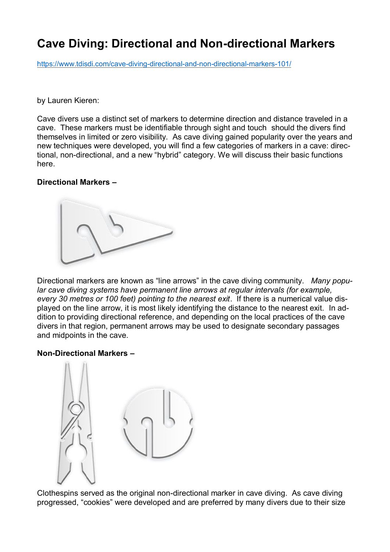# **Cave Diving: Directional and Non-directional Markers**

https://www.tdisdi.com/cave-diving-directional-and-non-directional-markers-101/

### by Lauren Kieren:

Cave divers use a distinct set of markers to determine direction and distance traveled in a cave. These markers must be identifiable through sight and touch should the divers find themselves in limited or zero visibility. As cave diving gained popularity over the years and new techniques were developed, you will find a few categories of markers in a cave: directional, non-directional, and a new "hybrid" category. We will discuss their basic functions here.

## **Directional Markers –**



Directional markers are known as "line arrows" in the cave diving community. *Many popular cave diving systems have permanent line arrows at regular intervals (for example, every 30 metres or 100 feet) pointing to the nearest exit*. If there is a numerical value displayed on the line arrow, it is most likely identifying the distance to the nearest exit. In addition to providing directional reference, and depending on the local practices of the cave divers in that region, permanent arrows may be used to designate secondary passages and midpoints in the cave.

### **Non-Directional Markers –**



Clothespins served as the original non-directional marker in cave diving. As cave diving progressed, "cookies" were developed and are preferred by many divers due to their size